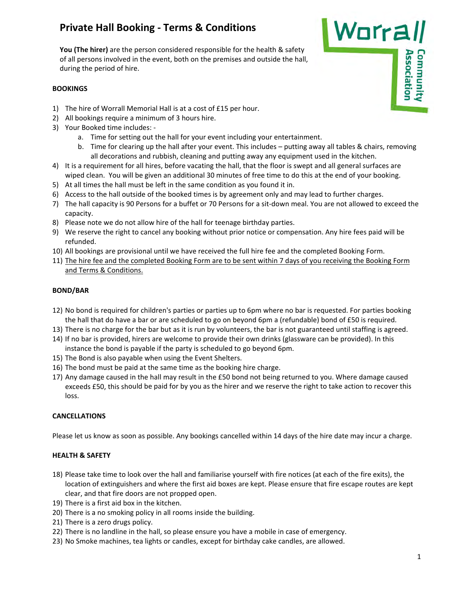# **Private Hall Booking ‐ Terms & Conditions**

**You (The hirer)** are the person considered responsible for the health & safety of all persons involved in the event, both on the premises and outside the hall, during the period of hire.

#### **BOOKINGS**

- 1) The hire of Worrall Memorial Hall is at a cost of £15 per hour.
- 2) All bookings require a minimum of 3 hours hire.
- 3) Your Booked time includes: ‐
	- a. Time for setting out the hall for your event including your entertainment.
	- b. Time for clearing up the hall after your event. This includes putting away all tables & chairs, removing all decorations and rubbish, cleaning and putting away any equipment used in the kitchen.
- 4) It is a requirement for all hires, before vacating the hall, that the floor is swept and all general surfaces are wiped clean. You will be given an additional 30 minutes of free time to do this at the end of your booking.
- 5) At all times the hall must be left in the same condition as you found it in.
- 6) Access to the hall outside of the booked times is by agreement only and may lead to further charges.
- 7) The hall capacity is 90 Persons for a buffet or 70 Persons for a sit-down meal. You are not allowed to exceed the capacity.
- 8) Please note we do not allow hire of the hall for teenage birthday parties.
- 9) We reserve the right to cancel any booking without prior notice or compensation. Any hire fees paid will be refunded.
- 10) All bookings are provisional until we have received the full hire fee and the completed Booking Form.
- 11) The hire fee and the completed Booking Form are to be sent within 7 days of you receiving the Booking Form and Terms & Conditions.

## **BOND/BAR**

- 12) No bond is required for children's parties or parties up to 6pm where no bar is requested. For parties booking the hall that do have a bar or are scheduled to go on beyond 6pm a (refundable) bond of £50 is required.
- 13) There is no charge for the bar but as it is run by volunteers, the bar is not guaranteed until staffing is agreed.
- 14) If no bar is provided, hirers are welcome to provide their own drinks (glassware can be provided). In this instance the bond is payable if the party is scheduled to go beyond 6pm.
- 15) The Bond is also payable when using the Event Shelters.
- 16) The bond must be paid at the same time as the booking hire charge.
- 17) Any damage caused in the hall may result in the £50 bond not being returned to you. Where damage caused exceeds £50, this should be paid for by you as the hirer and we reserve the right to take action to recover this loss.

## **CANCELLATIONS**

Please let us know as soon as possible. Any bookings cancelled within 14 days of the hire date may incur a charge.

#### **HEALTH & SAFETY**

- 18) Please take time to look over the hall and familiarise yourself with fire notices (at each of the fire exits), the location of extinguishers and where the first aid boxes are kept. Please ensure that fire escape routes are kept clear, and that fire doors are not propped open.
- 19) There is a first aid box in the kitchen.
- 20) There is a no smoking policy in all rooms inside the building.
- 21) There is a zero drugs policy.
- 22) There is no landline in the hall, so please ensure you have a mobile in case of emergency.
- 23) No Smoke machines, tea lights or candles, except for birthday cake candles, are allowed.

Worrall

**Association** Community